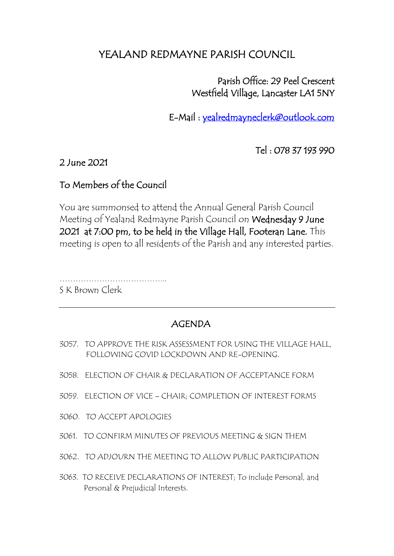## YEALAND REDMAYNE PARISH COUNCIL

 Parish Office: 29 Peel Crescent Westfield Village, Lancaster LA1 5NY

E-Mail : [yealredmayneclerk@outlook.com](mailto:yealredmayneclerk@outlook.com) 

Tel : 078 37 193 990

## 2 June 2021

## To Members of the Council

You are summonsed to attend the Annual General Parish Council Meeting of Yealand Redmayne Parish Council on Wednesday 9 June 2021 at 7:00 pm, to be held in the Village Hall, Footeran Lane. This meeting is open to all residents of the Parish and any interested parties.

………………………………….. S K Brown Clerk

## AGENDA

- 3057. TO APPROVE THE RISK ASSESSMENT FOR USING THE VILLAGE HALL, FOLLOWING COVID LOCKDOWN AND RE-OPENING.
- 3058. ELECTION OF CHAIR & DECLARATION OF ACCEPTANCE FORM
- 3059. ELECTION OF VICE CHAIR; COMPLETION OF INTEREST FORMS
- 3060. TO ACCEPT APOLOGIES
- 3061. TO CONFIRM MINUTES OF PREVIOUS MEETING & SIGN THEM
- 3062. TO ADJOURN THE MEETING TO ALLOW PUBLIC PARTICIPATION
- 3063. TO RECEIVE DECLARATIONS OF INTEREST; To include Personal, and Personal & Prejudicial Interests.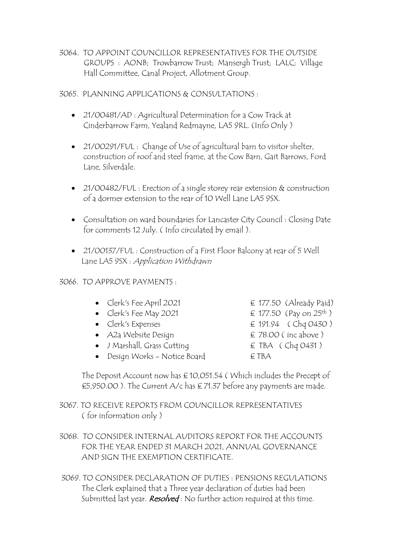3064. TO APPOINT COUNCILLOR REPRESENTATIVES FOR THE OUTSIDE GROUPS : AONB; Trowbarrow Trust; Mansergh Trust; LALC; Village Hall Committee, Canal Project, Allotment Group.

3065. PLANNING APPLICATIONS & CONSULTATIONS :

- 21/00481/AD : Agricultural Determination for a Cow Track at Cinderbarrow Farm, Yealand Redmayne, LA5 9RL. (Info Only )
- 21/00291/FUL : Change of Use of agricultural barn to visitor shelter, construction of roof and steel frame, at the Cow Barn, Gait Barrows, Ford Lane, Silverdale.
- 21/00482/FUL : Erection of a single storey rear extension & construction of a dormer extension to the rear of 10 Well Lane LA5 9SX.
- Consultation on ward boundaries for Lancaster City Council : Closing Date for comments 12 July. ( Info circulated by email ).
- 21/00137/FUL : Construction of a First Floor Balcony at rear of 5 Well Lane LA5 9SX : Application Withdrawn

3066. TO APPROVE PAYMENTS :

- Clerk's Fee April 2021  $\epsilon$  177.50 (Already Paid)
- $Clerk's Free May 2021$ • Clerk's Fee May 2021  $\epsilon$  177.50 (Pay on 25<sup>th</sup>)<br>• Clerk's Expenses  $\epsilon$  191.94 (Chq 0430)
- 
- A2a Website Design  $\epsilon$  78.00 (inc above)
- J Marshall, Grass Cutting  $\epsilon$  TBA ( Chq 0431 )
- Design Works Notice Board  $E TBA$
- 
- 
- 
- 
- -

 The Deposit Account now has £ 10,051.54 ( Which includes the Precept of £5,950.00 ). The Current A/c has  $\epsilon$  71.37 before any payments are made.

- 3067. TO RECEIVE REPORTS FROM COUNCILLOR REPRESENTATIVES ( for information only )
- 3068. TO CONSIDER INTERNAL AUDITORS REPORT FOR THE ACCOUNTS FOR THE YEAR ENDED 31 MARCH 2021, ANNUAL GOVERNANCE AND SIGN THE EXEMPTION CERTIFICATE.
- 3069. TO CONSIDER DECLARATION OF DUTIES : PENSIONS REGULATIONS The Clerk explained that a Three year declaration of duties had been Submitted last year. *Resolved*: No further action required at this time.